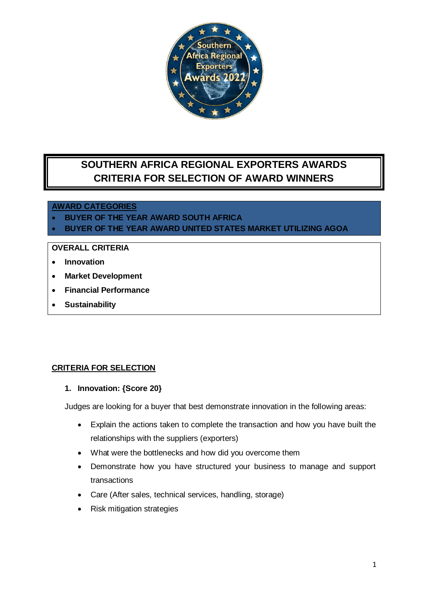

# **SOUTHERN AFRICA REGIONAL EXPORTERS AWARDS CRITERIA FOR SELECTION OF AWARD WINNERS**

## **AWARD CATEGORIES**

- **BUYER OF THE YEAR AWARD SOUTH AFRICA**
- **BUYER OF THE YEAR AWARD UNITED STATES MARKET UTILIZING AGOA**

## **OVERALL CRITERIA**

- **Innovation**
- **Market Development**
- **Financial Performance**
- **Sustainability**

#### **CRITERIA FOR SELECTION**

**1. Innovation: {Score 20}**

Judges are looking for a buyer that best demonstrate innovation in the following areas:

- Explain the actions taken to complete the transaction and how you have built the relationships with the suppliers (exporters)
- What were the bottlenecks and how did you overcome them
- Demonstrate how you have structured your business to manage and support transactions
- Care (After sales, technical services, handling, storage)
- Risk mitigation strategies